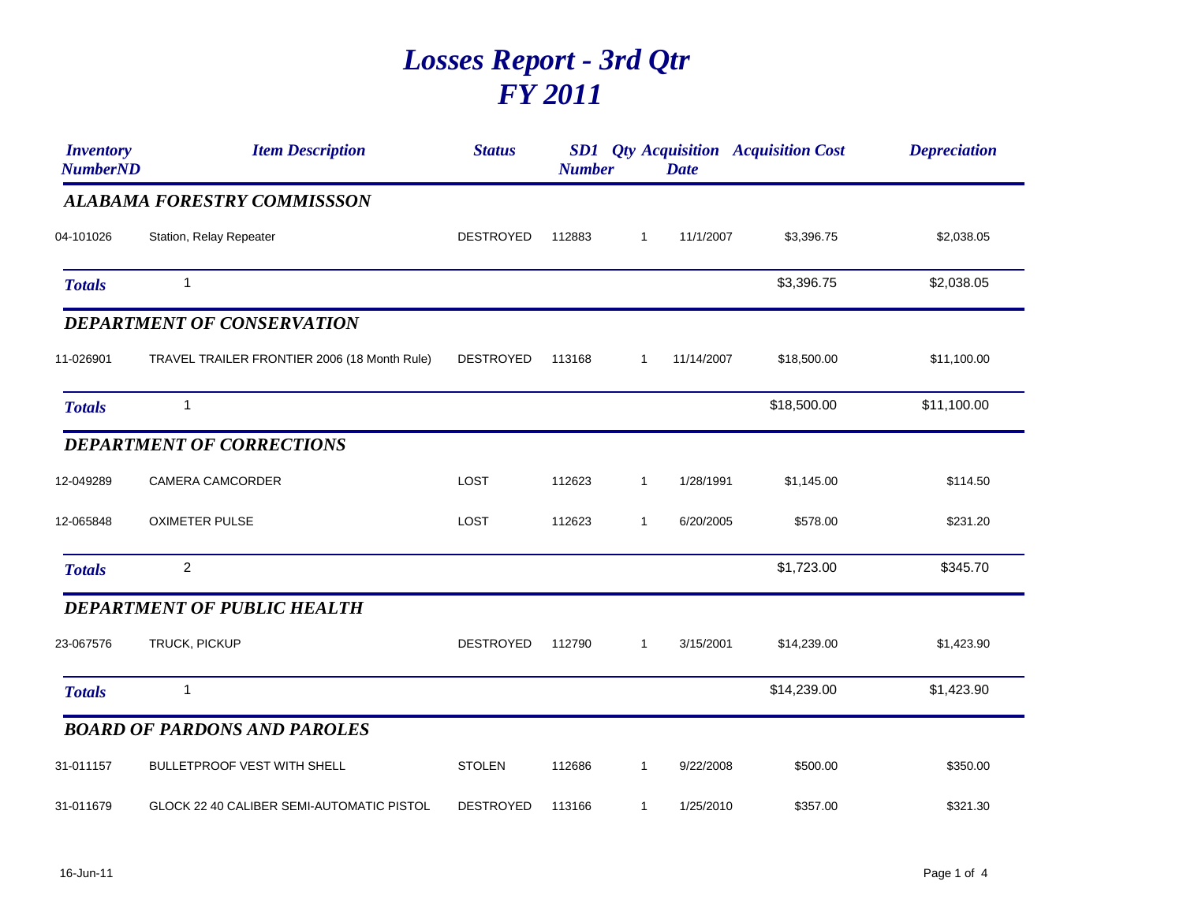## *Losses Report - 3rd Qtr FY 2011*

| <b>Inventory</b><br><b>NumberND</b> | <b>Item Description</b>                      | <b>Status</b>    | <b>Number</b> |              | <b>Date</b> | <b>SD1</b> <i>Qty Acquisition Acquisition Cost</i> | <b>Depreciation</b> |
|-------------------------------------|----------------------------------------------|------------------|---------------|--------------|-------------|----------------------------------------------------|---------------------|
|                                     | <b>ALABAMA FORESTRY COMMISSSON</b>           |                  |               |              |             |                                                    |                     |
| 04-101026                           | Station, Relay Repeater                      | <b>DESTROYED</b> | 112883        | $\mathbf{1}$ | 11/1/2007   | \$3,396.75                                         | \$2,038.05          |
| <b>Totals</b>                       | $\mathbf{1}$                                 |                  |               |              |             | \$3,396.75                                         | \$2,038.05          |
|                                     | <b>DEPARTMENT OF CONSERVATION</b>            |                  |               |              |             |                                                    |                     |
| 11-026901                           | TRAVEL TRAILER FRONTIER 2006 (18 Month Rule) | <b>DESTROYED</b> | 113168        | $\mathbf{1}$ | 11/14/2007  | \$18,500.00                                        | \$11,100.00         |
| <b>Totals</b>                       | $\mathbf{1}$                                 |                  |               |              |             | \$18,500.00                                        | \$11,100.00         |
|                                     | <b>DEPARTMENT OF CORRECTIONS</b>             |                  |               |              |             |                                                    |                     |
| 12-049289                           | CAMERA CAMCORDER                             | LOST             | 112623        | $\mathbf{1}$ | 1/28/1991   | \$1,145.00                                         | \$114.50            |
| 12-065848                           | <b>OXIMETER PULSE</b>                        | LOST             | 112623        | $\mathbf{1}$ | 6/20/2005   | \$578.00                                           | \$231.20            |
| <b>Totals</b>                       | $\overline{2}$                               |                  |               |              |             | \$1,723.00                                         | \$345.70            |
|                                     | DEPARTMENT OF PUBLIC HEALTH                  |                  |               |              |             |                                                    |                     |
| 23-067576                           | TRUCK, PICKUP                                | <b>DESTROYED</b> | 112790        | $\mathbf{1}$ | 3/15/2001   | \$14,239.00                                        | \$1,423.90          |
| <b>Totals</b>                       | $\mathbf{1}$                                 |                  |               |              |             | \$14,239.00                                        | \$1,423.90          |
|                                     | <b>BOARD OF PARDONS AND PAROLES</b>          |                  |               |              |             |                                                    |                     |
| 31-011157                           | <b>BULLETPROOF VEST WITH SHELL</b>           | <b>STOLEN</b>    | 112686        | $\mathbf{1}$ | 9/22/2008   | \$500.00                                           | \$350.00            |
| 31-011679                           | GLOCK 22 40 CALIBER SEMI-AUTOMATIC PISTOL    | <b>DESTROYED</b> | 113166        | $\mathbf{1}$ | 1/25/2010   | \$357.00                                           | \$321.30            |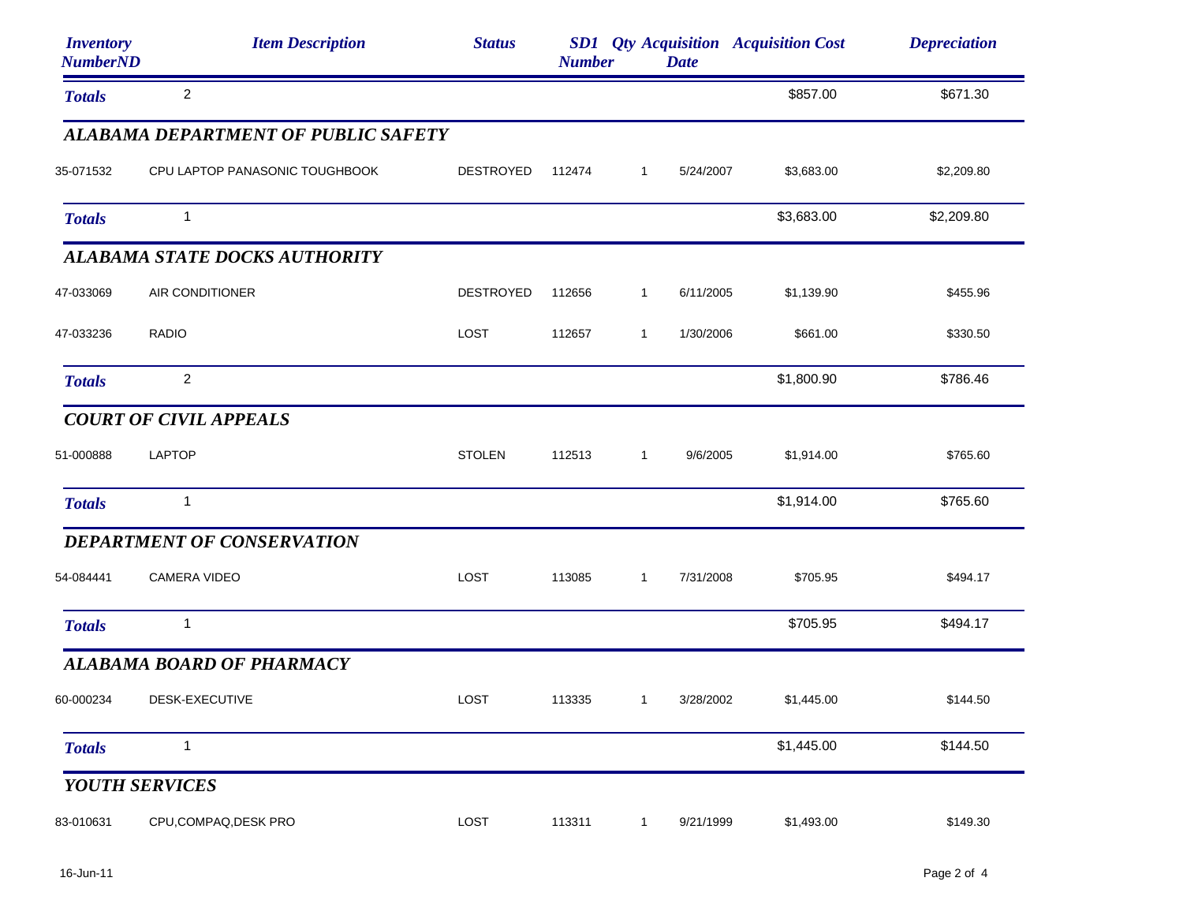| <i><b>Inventory</b></i><br><b>NumberND</b> | <b>Item Description</b>             | <b>Status</b>    | <b>Number</b> |              | <b>Date</b> | <b>SD1</b> Qty Acquisition Acquisition Cost | <b>Depreciation</b> |
|--------------------------------------------|-------------------------------------|------------------|---------------|--------------|-------------|---------------------------------------------|---------------------|
| <b>Totals</b>                              | $\overline{c}$                      |                  |               |              |             | \$857.00                                    | \$671.30            |
|                                            | ALABAMA DEPARTMENT OF PUBLIC SAFETY |                  |               |              |             |                                             |                     |
| 35-071532                                  | CPU LAPTOP PANASONIC TOUGHBOOK      | DESTROYED        | 112474        | $\mathbf{1}$ | 5/24/2007   | \$3,683.00                                  | \$2,209.80          |
| <b>Totals</b>                              | $\overline{1}$                      |                  |               |              |             | \$3,683.00                                  | \$2,209.80          |
|                                            | ALABAMA STATE DOCKS AUTHORITY       |                  |               |              |             |                                             |                     |
| 47-033069                                  | AIR CONDITIONER                     | <b>DESTROYED</b> | 112656        | $\mathbf{1}$ | 6/11/2005   | \$1,139.90                                  | \$455.96            |
| 47-033236                                  | <b>RADIO</b>                        | LOST             | 112657        | $\mathbf{1}$ | 1/30/2006   | \$661.00                                    | \$330.50            |
| <b>Totals</b>                              | $\overline{2}$                      |                  |               |              |             | \$1,800.90                                  | \$786.46            |
|                                            | <b>COURT OF CIVIL APPEALS</b>       |                  |               |              |             |                                             |                     |
| 51-000888                                  | <b>LAPTOP</b>                       | <b>STOLEN</b>    | 112513        | $\mathbf{1}$ | 9/6/2005    | \$1,914.00                                  | \$765.60            |
| <b>Totals</b>                              | $\mathbf{1}$                        |                  |               |              |             | \$1,914.00                                  | \$765.60            |
|                                            | DEPARTMENT OF CONSERVATION          |                  |               |              |             |                                             |                     |
| 54-084441                                  | <b>CAMERA VIDEO</b>                 | LOST             | 113085        | $\mathbf{1}$ | 7/31/2008   | \$705.95                                    | \$494.17            |
| <b>Totals</b>                              | $\mathbf{1}$                        |                  |               |              |             | \$705.95                                    | \$494.17            |
|                                            | <b>ALABAMA BOARD OF PHARMACY</b>    |                  |               |              |             |                                             |                     |
| 60-000234                                  | DESK-EXECUTIVE                      | <b>LOST</b>      | 113335        | $\sim$ 1     | 3/28/2002   | \$1,445.00                                  | \$144.50            |
| <b>Totals</b>                              | 1                                   |                  |               |              |             | \$1,445.00                                  | \$144.50            |
|                                            | YOUTH SERVICES                      |                  |               |              |             |                                             |                     |
| 83-010631                                  | CPU,COMPAQ,DESK PRO                 | LOST             | 113311        | $\mathbf{1}$ | 9/21/1999   | \$1,493.00                                  | \$149.30            |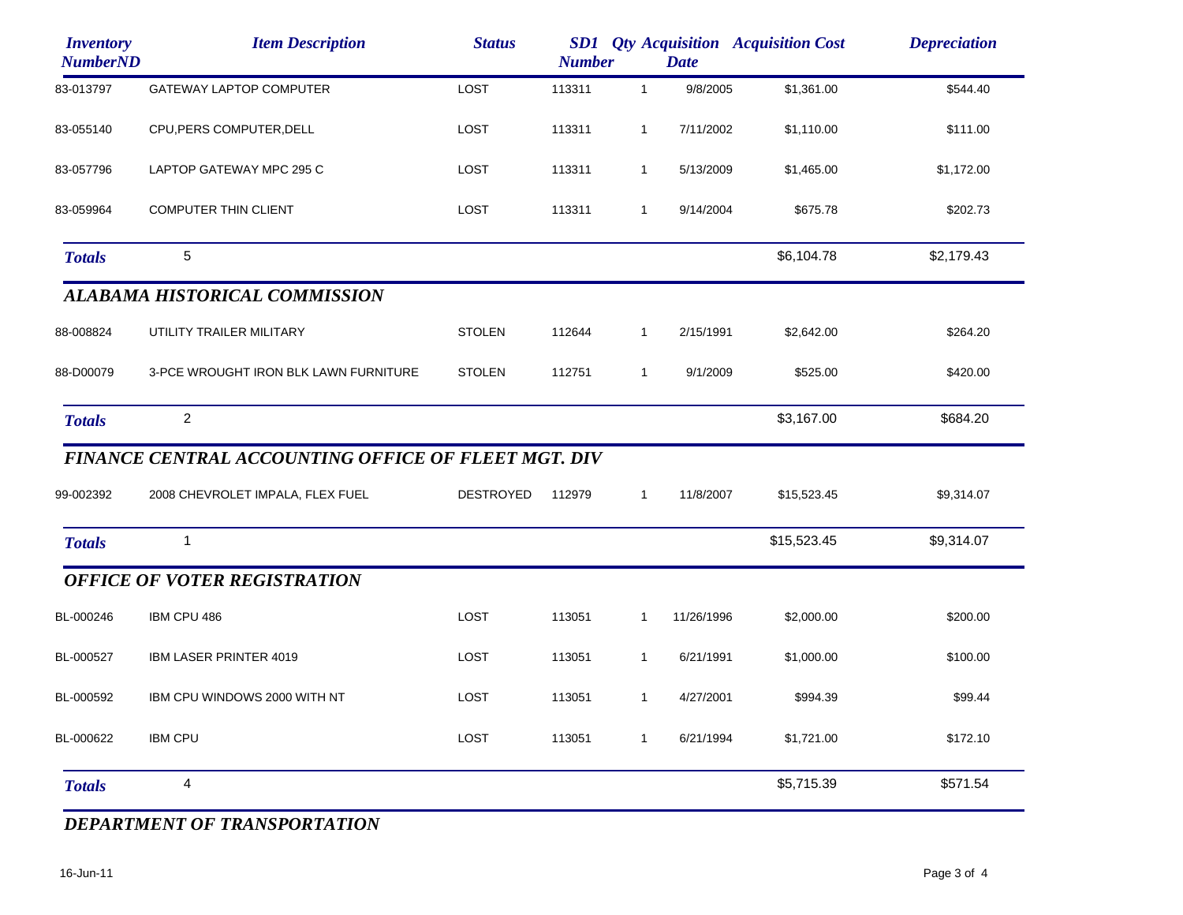| <b>Inventory</b><br><b>NumberND</b> | <b>Item Description</b>                             | <b>Status</b>    | <b>Qty Acquisition Acquisition Cost</b><br><b>SD1</b><br><b>Number</b><br><b>Date</b> |              |            |             | <b>Depreciation</b> |
|-------------------------------------|-----------------------------------------------------|------------------|---------------------------------------------------------------------------------------|--------------|------------|-------------|---------------------|
| 83-013797                           | <b>GATEWAY LAPTOP COMPUTER</b>                      | LOST             | 113311                                                                                | $\mathbf{1}$ | 9/8/2005   | \$1,361.00  | \$544.40            |
| 83-055140                           | CPU, PERS COMPUTER, DELL                            | LOST             | 113311                                                                                | $\mathbf{1}$ | 7/11/2002  | \$1,110.00  | \$111.00            |
| 83-057796                           | LAPTOP GATEWAY MPC 295 C                            | LOST             | 113311                                                                                | $\mathbf{1}$ | 5/13/2009  | \$1,465.00  | \$1,172.00          |
| 83-059964                           | COMPUTER THIN CLIENT                                | LOST             | 113311                                                                                | $\mathbf{1}$ | 9/14/2004  | \$675.78    | \$202.73            |
| <b>Totals</b>                       | 5                                                   |                  |                                                                                       |              |            | \$6,104.78  | \$2,179.43          |
|                                     | <b>ALABAMA HISTORICAL COMMISSION</b>                |                  |                                                                                       |              |            |             |                     |
| 88-008824                           | UTILITY TRAILER MILITARY                            | <b>STOLEN</b>    | 112644                                                                                | $\mathbf{1}$ | 2/15/1991  | \$2,642.00  | \$264.20            |
| 88-D00079                           | 3-PCE WROUGHT IRON BLK LAWN FURNITURE               | <b>STOLEN</b>    | 112751                                                                                | $\mathbf{1}$ | 9/1/2009   | \$525.00    | \$420.00            |
| <b>Totals</b>                       | $\overline{2}$                                      |                  |                                                                                       |              |            | \$3,167.00  | \$684.20            |
|                                     | FINANCE CENTRAL ACCOUNTING OFFICE OF FLEET MGT. DIV |                  |                                                                                       |              |            |             |                     |
| 99-002392                           | 2008 CHEVROLET IMPALA, FLEX FUEL                    | <b>DESTROYED</b> | 112979                                                                                | $\mathbf{1}$ | 11/8/2007  | \$15,523.45 | \$9,314.07          |
| <b>Totals</b>                       | $\mathbf{1}$                                        |                  |                                                                                       |              |            | \$15,523.45 | \$9,314.07          |
|                                     | <b>OFFICE OF VOTER REGISTRATION</b>                 |                  |                                                                                       |              |            |             |                     |
| BL-000246                           | IBM CPU 486                                         | LOST             | 113051                                                                                | $\mathbf{1}$ | 11/26/1996 | \$2,000.00  | \$200.00            |
| BL-000527                           | IBM LASER PRINTER 4019                              | LOST             | 113051                                                                                | 1            | 6/21/1991  | \$1,000.00  | \$100.00            |
| BL-000592                           | IBM CPU WINDOWS 2000 WITH NT                        | <b>LOST</b>      | 113051                                                                                | $\mathbf{1}$ | 4/27/2001  | \$994.39    | \$99.44             |
| BL-000622                           | <b>IBM CPU</b>                                      | LOST             | 113051                                                                                | $\mathbf{1}$ | 6/21/1994  | \$1,721.00  | \$172.10            |
| <b>Totals</b>                       | 4                                                   |                  |                                                                                       |              |            | \$5,715.39  | \$571.54            |

## *DEPARTMENT OF TRANSPORTATION*